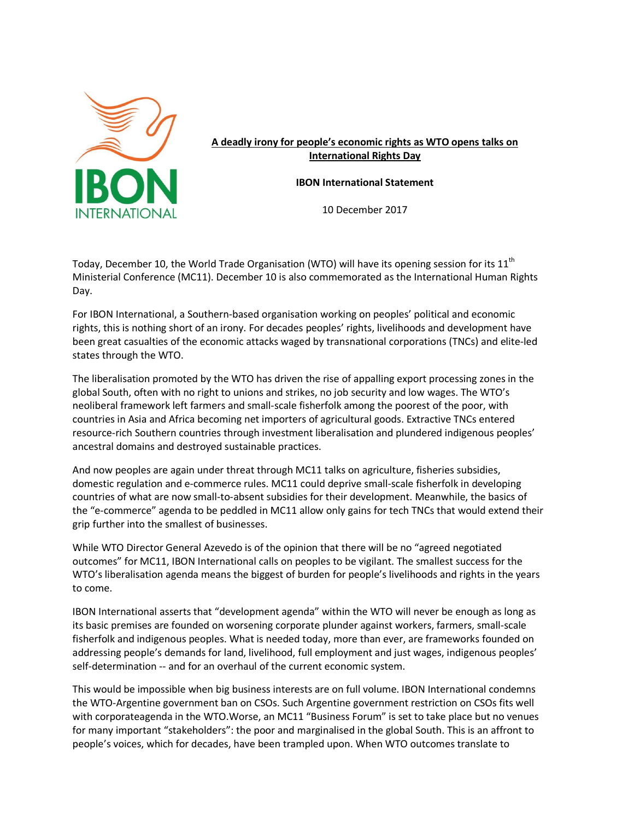

**A deadly irony for people's economic rights as WTO opens talks on International Rights Day**

**IBON International Statement**

10 December 2017

Today, December 10, the World Trade Organisation (WTO) will have its opening session for its  $11<sup>th</sup>$ Ministerial Conference (MC11). December 10 is also commemorated as the International Human Rights Day.

For IBON International, a Southern-based organisation working on peoples' political and economic rights, this is nothing short of an irony. For decades peoples' rights, livelihoods and development have been great casualties of the economic attacks waged by transnational corporations (TNCs) and elite-led states through the WTO.

The liberalisation promoted by the WTO has driven the rise of appalling export processing zones in the global South, often with no right to unions and strikes, no job security and low wages. The WTO's neoliberal framework left farmers and small-scale fisherfolk among the poorest of the poor, with countries in Asia and Africa becoming net importers of agricultural goods. Extractive TNCs entered resource-rich Southern countries through investment liberalisation and plundered indigenous peoples' ancestral domains and destroyed sustainable practices.

And now peoples are again under threat through MC11 talks on agriculture, fisheries subsidies, domestic regulation and e-commerce rules. MC11 could deprive small-scale fisherfolk in developing countries of what are now small-to-absent subsidies for their development. Meanwhile, the basics of the "e-commerce" agenda to be peddled in MC11 allow only gains for tech TNCs that would extend their grip further into the smallest of businesses.

While WTO Director General Azevedo is of the opinion that there will be no "agreed negotiated outcomes" for MC11, IBON International calls on peoples to be vigilant. The smallest success for the WTO's liberalisation agenda means the biggest of burden for people's livelihoods and rights in the years to come.

IBON International asserts that "development agenda" within the WTO will never be enough as long as its basic premises are founded on worsening corporate plunder against workers, farmers, small-scale fisherfolk and indigenous peoples. What is needed today, more than ever, are frameworks founded on addressing people's demands for land, livelihood, full employment and just wages, indigenous peoples' self-determination -- and for an overhaul of the current economic system.

This would be impossible when big business interests are on full volume. IBON International condemns the WTO-Argentine government ban on CSOs. Such Argentine government restriction on CSOs fits well with corporateagenda in the WTO.Worse, an MC11 "Business Forum" is set to take place but no venues for many important "stakeholders": the poor and marginalised in the global South. This is an affront to people's voices, which for decades, have been trampled upon. When WTO outcomes translate to